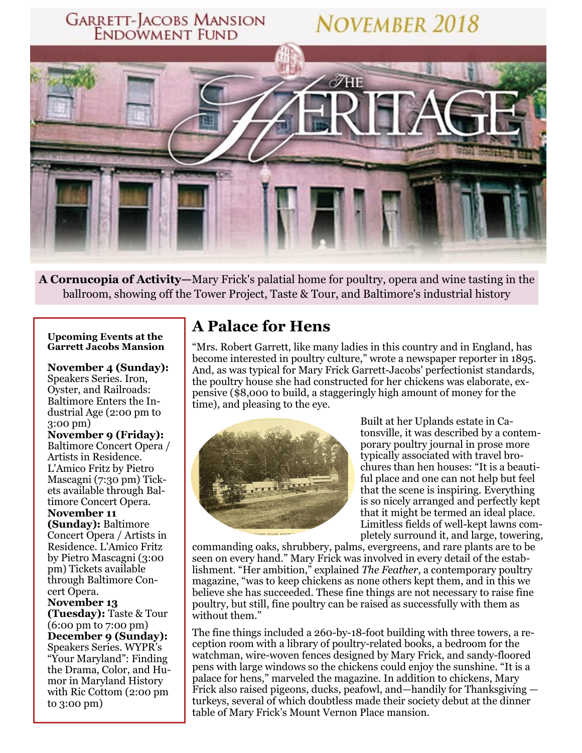

A Cornucopia of Activity—Mary Frick's palatial home for poultry, opera and wine tasting in the ballroom, showing off the Tower Project, Taste & Tour, and Baltimore's industrial history

#### **Upcoming Events at the Garrett Jacobs Mansion**

**November 4 (Sunday):** Speakers Series. Iron, Oyster, and Railroads: Baltimore Enters the Industrial Age (2:00 pm to  $3:00 \text{ pm}$ )

**November 9 (Friday):** Baltimore Concert Opera / Artists in Residence. L'Amico Fritz by Pietro Mascagni (7:30 pm) Tickets available through Baltimore Concert Opera.

November 11 (Sunday): Baltimore Concert Opera / Artists in Residence. L'Amico Fritz by Pietro Mascagni (3:00 pm) Tickets available through Baltimore Concert Opera. November 13 (Tuesday): Taste & Tour  $(6:00 \text{ pm} to 7:00 \text{ pm})$ 

December 9 (Sunday): Speakers Series. WYPR's "Your Maryland": Finding the Drama, Color, and Humor in Maryland History with Ric Cottom (2:00 pm to  $3:00 \text{ pm}$ )

### **A Palace for Hens**

"Mrs. Robert Garrett, like many ladies in this country and in England, has become interested in poultry culture," wrote a newspaper reporter in 1895. And, as was typical for Mary Frick Garrett-Jacobs' perfectionist standards, the poultry house she had constructed for her chickens was elaborate, expensive (\$8,000 to build, a staggeringly high amount of money for the time), and pleasing to the eye.



Built at her Uplands estate in Catonsville, it was described by a contemporary poultry journal in prose more typically associated with travel brochures than hen houses: "It is a beautiful place and one can not help but feel that the scene is inspiring. Everything is so nicely arranged and perfectly kept that it might be termed an ideal place. Limitless fields of well-kept lawns completely surround it, and large, towering,

commanding oaks, shrubbery, palms, evergreens, and rare plants are to be seen on every hand." Mary Frick was involved in every detail of the establishment. "Her ambition," explained The Feather, a contemporary poultry magazine, "was to keep chickens as none others kept them, and in this we believe she has succeeded. These fine things are not necessary to raise fine poultry, but still, fine poultry can be raised as successfully with them as without them."

The fine things included a 260-by-18-foot building with three towers, a reception room with a library of poultry-related books, a bedroom for the watchman, wire-woven fences designed by Mary Frick, and sandy-floored pens with large windows so the chickens could enjoy the sunshine. "It is a palace for hens," marveled the magazine. In addition to chickens, Mary Frick also raised pigeons, ducks, peafowl, and—handily for Thanksgiving turkeys, several of which doubtless made their society debut at the dinner table of Mary Frick's Mount Vernon Place mansion.